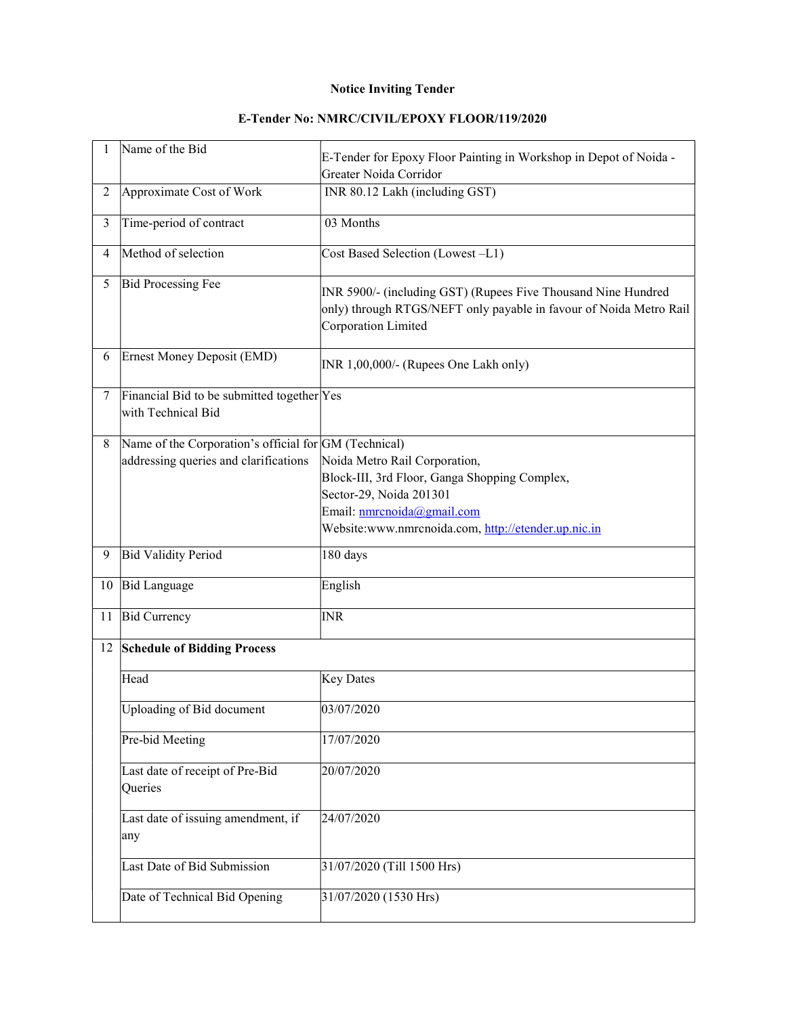## Notice Inviting Tender

| 1              | Name of the Bid                                                                                | E-Tender for Epoxy Floor Painting in Workshop in Depot of Noida -<br>Greater Noida Corridor                                                                                                    |
|----------------|------------------------------------------------------------------------------------------------|------------------------------------------------------------------------------------------------------------------------------------------------------------------------------------------------|
| $\overline{2}$ | Approximate Cost of Work                                                                       | INR 80.12 Lakh (including GST)                                                                                                                                                                 |
| $\overline{3}$ | Time-period of contract                                                                        | 03 Months                                                                                                                                                                                      |
| $\overline{4}$ | Method of selection                                                                            | Cost Based Selection (Lowest-L1)                                                                                                                                                               |
| 5              | Bid Processing Fee                                                                             | INR 5900/- (including GST) (Rupees Five Thousand Nine Hundred<br>only) through RTGS/NEFT only payable in favour of Noida Metro Rail<br>Corporation Limited                                     |
| 6              | Ernest Money Deposit (EMD)                                                                     | INR 1,00,000/- (Rupees One Lakh only)                                                                                                                                                          |
| 7              | Financial Bid to be submitted together Yes<br>with Technical Bid                               |                                                                                                                                                                                                |
| 8              | Name of the Corporation's official for GM (Technical)<br>addressing queries and clarifications | Noida Metro Rail Corporation,<br>Block-III, 3rd Floor, Ganga Shopping Complex,<br>Sector-29, Noida 201301<br>Email: nmrcnoida@gmail.com<br>Website:www.nmrcnoida.com, http://etender.up.nic.in |
| 9              | <b>Bid Validity Period</b>                                                                     | 180 days                                                                                                                                                                                       |
| 10             | <b>Bid Language</b>                                                                            | English                                                                                                                                                                                        |
| 11             | <b>Bid Currency</b>                                                                            | <b>INR</b>                                                                                                                                                                                     |
| 12             | <b>Schedule of Bidding Process</b>                                                             |                                                                                                                                                                                                |
|                | Head                                                                                           | <b>Key Dates</b>                                                                                                                                                                               |
|                | Uploading of Bid document                                                                      | 03/07/2020                                                                                                                                                                                     |
|                | Pre-bid Meeting                                                                                | 17/07/2020                                                                                                                                                                                     |
|                | Last date of receipt of Pre-Bid<br>Queries                                                     | 20/07/2020                                                                                                                                                                                     |
|                | Last date of issuing amendment, if<br>any                                                      | 24/07/2020                                                                                                                                                                                     |
|                | Last Date of Bid Submission                                                                    | 31/07/2020 (Till 1500 Hrs)                                                                                                                                                                     |
|                | Date of Technical Bid Opening                                                                  | 31/07/2020 (1530 Hrs)                                                                                                                                                                          |

## E-Tender No: NMRC/CIVIL/EPOXY FLOOR/119/2020